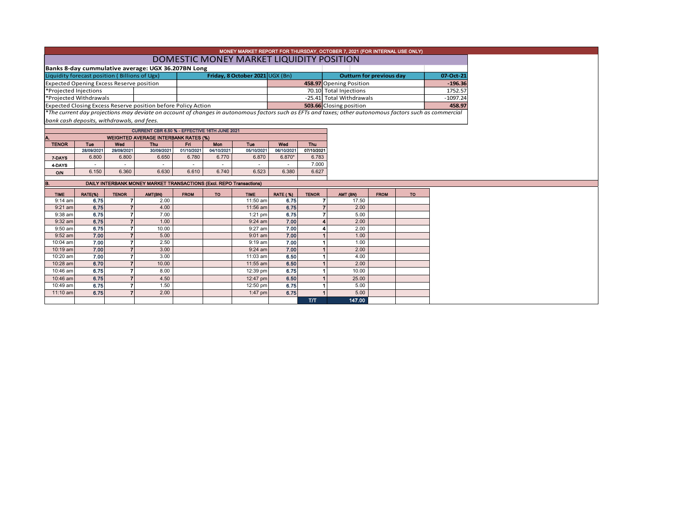| MONEY MARKET REPORT FOR THURSDAY, OCTOBER 7, 2021 (FOR INTERNAL USE ONLY) |  |  |  |  |  |  |  |  |  |  |
|---------------------------------------------------------------------------|--|--|--|--|--|--|--|--|--|--|
| DOMESTIC MONEY MARKET LIQUIDITY POSITION                                  |  |  |  |  |  |  |  |  |  |  |
| Banks 8-day cummulative average: UGX 36.207BN Long                        |  |  |  |  |  |  |  |  |  |  |
|                                                                           |  |  |  |  |  |  |  |  |  |  |

| Liquidity forecast position (Billions of Ugx)                 | Friday, 8 October 2021 UGX (Bn) | Outturn for previous day | 07-Oct-21  |
|---------------------------------------------------------------|---------------------------------|--------------------------|------------|
| <b>Expected Opening Excess Reserve position</b>               |                                 | 458.97 Opening Position  | $-196.36$  |
| Projected Injections                                          |                                 | 70.10 Total Injections   | 1752.57    |
| Projected Withdrawals                                         |                                 | -25.41 Total Withdrawals | $-1097.24$ |
| Expected Closing Excess Reserve position before Policy Action |                                 | 503.66 Closing position  | 458.97     |

\**The current day projections may deviate on account of changes in autonomous factors such as EFTs and taxes; other autonomous factors such as commercial bank cash deposits, withdrawals, and fees.*

| CURRENT CBR 6.50 % - EFFECTIVE 16TH JUNE 2021     |            |            |                          |            |            |            |            |  |  |  |  |  |  |
|---------------------------------------------------|------------|------------|--------------------------|------------|------------|------------|------------|--|--|--|--|--|--|
| <b>WEIGHTED AVERAGE INTERBANK RATES (%)</b><br>А. |            |            |                          |            |            |            |            |  |  |  |  |  |  |
| Tue                                               | Wed        | Thu        | Fri                      | <b>Mon</b> | Tue        | Wed        | <b>Thu</b> |  |  |  |  |  |  |
| 28/09/2021                                        | 29/09/2021 | 30/09/2021 | 01/10/2021               | 04/10/2021 | 05/10/2021 | 06/10/2021 | 07/10/2021 |  |  |  |  |  |  |
| 6.800                                             | 6.800      | 6.650      | 6.780                    | 6.770      | 6.870      | 6.870*     | 6.783      |  |  |  |  |  |  |
| ۰                                                 | ۰          |            | $\overline{\phantom{a}}$ | -          | ۰          |            | 7.000      |  |  |  |  |  |  |
| 6.150                                             | 6.360      | 6.630      | 6.610                    | 6.740      | 6.523      | 6.380      | 6.627      |  |  |  |  |  |  |
|                                                   |            |            |                          |            |            |            |            |  |  |  |  |  |  |

| İB.         |         | DAILY INTERBANK MONEY MARKET TRANSACTIONS (Excl. REPO Transactions) |         |             |           |             |                 |              |          |             |           |
|-------------|---------|---------------------------------------------------------------------|---------|-------------|-----------|-------------|-----------------|--------------|----------|-------------|-----------|
| <b>TIME</b> | RATE(%) | <b>TENOR</b>                                                        | AMT(BN) | <b>FROM</b> | <b>TO</b> | <b>TIME</b> | <b>RATE (%)</b> | <b>TENOR</b> | AMT (BN) | <b>FROM</b> | <b>TO</b> |
| $9:14$ am   | 6.75    |                                                                     | 2.00    |             |           | 11:50 am    | 6.75            |              | 17.50    |             |           |
| $9:21$ am   | 6.75    |                                                                     | 4.00    |             |           | 11:56 am    | 6.75            |              | 2.00     |             |           |
| $9:38$ am   | 6.75    |                                                                     | 7.00    |             |           | $1:21$ pm   | 6.75            |              | 5.00     |             |           |
| $9:32$ am   | 6.75    |                                                                     | 1.00    |             |           | $9:24$ am   | 7.00            | 4            | 2.00     |             |           |
| $9:50$ am   | 6.75    |                                                                     | 10.00   |             |           | $9:27$ am   | 7.00            |              | 2.00     |             |           |
| $9:52$ am   | 7.00    |                                                                     | 5.00    |             |           | $9:01$ am   | 7.00            |              | 1.00     |             |           |
| 10:04 am    | 7.00    |                                                                     | 2.50    |             |           | $9:19$ am   | 7.00            |              | 1.00     |             |           |
| $10:19$ am  | 7.00    |                                                                     | 3.00    |             |           | $9:24$ am   | 7.00            |              | 2.00     |             |           |
| 10:20 am    | 7.00    |                                                                     | 3.00    |             |           | $11:03$ am  | 6.50            |              | 4.00     |             |           |
| $10:28$ am  | 6.70    |                                                                     | 10.00   |             |           | $11:55$ am  | 6.50            |              | 2.00     |             |           |
| 10:46 am    | 6.75    |                                                                     | 8.00    |             |           | 12:39 pm    | 6.75            |              | 10.00    |             |           |
| 10:46 am    | 6.75    |                                                                     | 4.50    |             |           | 12:47 pm    | 6.50            |              | 25.00    |             |           |
| 10:49 am    | 6.75    |                                                                     | 1.50    |             |           | 12:50 pm    | 6.75            |              | 5.00     |             |           |
| $11:10$ am  | 6.75    |                                                                     | 2.00    |             |           | 1:47 pm     | 6.75            |              | 5.00     |             |           |
|             |         |                                                                     |         |             |           |             |                 | <b>T/T</b>   | 147.00   |             |           |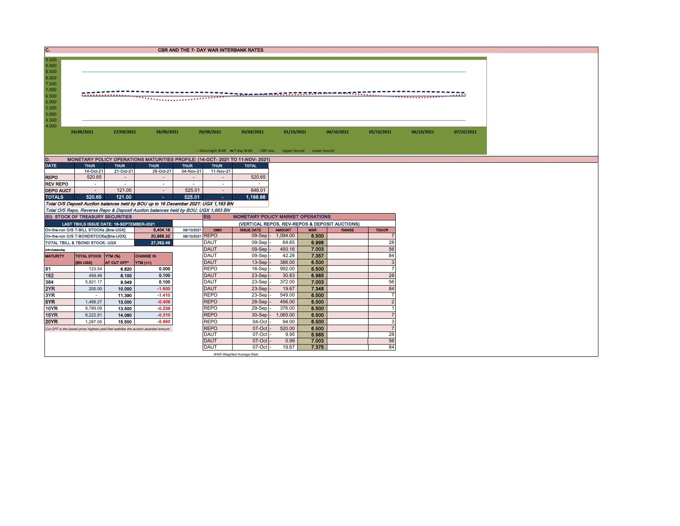| C.                                                                                              |                                                                                              |             |                          |                          |             | <b>CBR AND THE 7- DAY WAR INTERBANK RATES</b> |                                                                   |                            |              |            |            |
|-------------------------------------------------------------------------------------------------|----------------------------------------------------------------------------------------------|-------------|--------------------------|--------------------------|-------------|-----------------------------------------------|-------------------------------------------------------------------|----------------------------|--------------|------------|------------|
| 9.500<br>9.000<br>8.500<br>8.000<br>7.500<br>7.000<br>6.500<br>6.000<br>5.500<br>5.000<br>4.500 |                                                                                              |             |                          |                          |             |                                               |                                                                   |                            |              |            |            |
| 4.000                                                                                           | 24/09/2021                                                                                   | 27/09/2021  | 28/09/2021               |                          | 29/09/2021  | 30/09/2021                                    | 01/10/2021                                                        | 04/10/2021                 | 05/10/2021   | 06/10/2021 | 07/10/2021 |
|                                                                                                 |                                                                                              |             |                          |                          |             |                                               | • Overnight WAR -7-day WAR - CBR rate - Upper bound - Lower bound |                            |              |            |            |
|                                                                                                 |                                                                                              |             |                          |                          |             |                                               |                                                                   |                            |              |            |            |
| D.<br><b>DATE</b>                                                                               | MONETARY POLICY OPERATIONS MATURITIES PROFILE: (14-OCT- 2021 TO 11-NOV- 2021)<br><b>THUR</b> | <b>THUR</b> | <b>THUR</b>              | <b>THUR</b>              | <b>THUR</b> | <b>TOTAL</b>                                  |                                                                   |                            |              |            |            |
|                                                                                                 | 14-Oct-21                                                                                    | 21-Oct-21   | 28-Oct-21                | 04-Nov-21                | 11-Nov-21   |                                               |                                                                   |                            |              |            |            |
| <b>REPO</b>                                                                                     | 520.65                                                                                       |             | $\overline{\phantom{a}}$ | $\overline{\phantom{a}}$ |             | 520.65                                        |                                                                   |                            |              |            |            |
| <b>REV REPO</b>                                                                                 |                                                                                              |             |                          |                          |             |                                               |                                                                   |                            |              |            |            |
| <b>DEPO AUCT</b>                                                                                |                                                                                              | 121.00      | $\sim$                   | 525.01                   | $\sim$      | 646.01                                        |                                                                   |                            |              |            |            |
| <b>TOTALS</b>                                                                                   | 520.65                                                                                       | 121.00      | $\sim$                   | 525.01                   | $\sim$      | 1,166.66                                      |                                                                   |                            |              |            |            |
|                                                                                                 | Total O/S Deposit Auction balances held by BOU up to 16 December 2021: UGX 1,163 BN          |             |                          |                          |             |                                               |                                                                   |                            |              |            |            |
|                                                                                                 | Total O/S Repo, Reverse Repo & Deposit Auction balances held by BOU: UGX 1,683 BN            |             |                          |                          |             |                                               |                                                                   |                            |              |            |            |
|                                                                                                 | (EI) STOCK OF TREASURY SECURITIES                                                            |             |                          |                          | $E$ ii)     |                                               | <b>MONETARY POLICY MARKET OPERATIONS</b>                          |                            |              |            |            |
|                                                                                                 | LAST TBIILS ISSUE DATE: 16-SEPTEMBER-2021                                                    |             |                          |                          |             |                                               | (VERTICAL REPOS, REV-REPOS & DEPOSIT AUCTIONS)                    |                            |              |            |            |
|                                                                                                 | On-the-run O/S T-BILL STOCKs (Bns-UGX)                                                       |             | 6,404.16                 | 08/10/2021               | OMO         | <b>ISSUE DATE</b>                             | <b>AMOUNT</b>                                                     | <b>WAR</b><br><b>RANGE</b> | <b>TENOR</b> |            |            |
|                                                                                                 | On-the-run O/S T-BONDSTOCKs(Bns-UGX)                                                         |             | 20,988.32                | 08/10/2021 REPO          |             | $09-Sep$ -                                    | 1,094.00                                                          | 6.500                      |              |            |            |

|                 | On-the-run O/S T-BONDSTOCKs(Bns-UGX) |                    | 20,988.32                                                                             | 08/10/2021 REPO |             | $09-Sep$ -                | 1,094.00 | 6.500 |    |
|-----------------|--------------------------------------|--------------------|---------------------------------------------------------------------------------------|-----------------|-------------|---------------------------|----------|-------|----|
|                 | TOTAL TBILL & TBOND STOCK- UGX       |                    | 27,392.49                                                                             |                 | <b>DAUT</b> | 09-Sep -                  | 64.65    | 6.998 | 28 |
| O/S=Outstanding |                                      |                    |                                                                                       |                 | <b>DAUT</b> | $09-Sep$ -                | 450.16   | 7.003 | 56 |
| <b>MATURITY</b> | TOTAL STOCK YTM (%)                  |                    | <b>CHANGE IN</b>                                                                      |                 | <b>DAUT</b> | $09-Sep$ -                | 42.28    | 7.357 | 84 |
|                 | (BN UGX)                             | <b>AT CUT OFF*</b> | YTM (+/-)                                                                             |                 | <b>DAUT</b> | $13-Sep$ -                | 386.00   | 6.500 |    |
| 91              | 123.54                               | 6.820              | 0.000                                                                                 |                 | <b>REPO</b> | $16-Sep$ -                | 992.00   | 6.500 |    |
| 182             | 459.46                               | 8.100              | 0.100                                                                                 |                 | <b>DAUT</b> | 23-Sep -                  | 30.83    | 6.985 | 28 |
| 364             | 5,821.17                             | 9.549              | 0.100                                                                                 |                 | <b>DAUT</b> | $23-Sep$ -                | 372.00   | 7.003 | 56 |
| 2YR             | 200.00                               | 10.000             | $-1.500$                                                                              |                 | <b>DAUT</b> | $23-Sep$ -                | 19.67    | 7.348 | 84 |
| 3YR             |                                      | 11.390             | $-1.410$                                                                              |                 | <b>REPO</b> | 23-Sep -                  | 549.00   | 6.500 |    |
| 5YR.            | 1,489.27                             | 13.000             | $-0.409$                                                                              |                 | <b>REPO</b> | $28-Sep$ -                | 456.00   | 6.500 |    |
| 10YR            | 9,789.09                             | 13.500             | $-0.239$                                                                              |                 | <b>REPO</b> | 29-Sep-                   | 376.00   | 6.500 |    |
| 15YR            | 8,222.91                             | 14.090             | $-0.310$                                                                              |                 | <b>REPO</b> | $30-Sep$ -                | 1.065.00 | 6.500 |    |
| <b>20YR</b>     | 1,287.05                             | 15.500             | $-0.450$                                                                              |                 | <b>REPO</b> | $04$ -Oct $-$             | 94.00    | 6.500 |    |
|                 |                                      |                    | Cut OFF is the lowest price/ highest yield that satisfies the auction awarded amount. |                 | <b>REPO</b> | $07-Cct$ -                | 520.00   | 6.500 |    |
|                 |                                      |                    |                                                                                       |                 | <b>DAUT</b> | 07-Oct -                  | 9.95     | 6.985 | 28 |
|                 |                                      |                    |                                                                                       |                 | <b>DAUT</b> | $07-Cct$ -                | 0.99     | 7.003 | 56 |
|                 |                                      |                    |                                                                                       |                 | <b>DAUT</b> | $07$ -Oct $-$             | 19.67    | 7.375 | 84 |
|                 |                                      |                    |                                                                                       |                 |             | WAR-Weighted Average Rate |          |       |    |